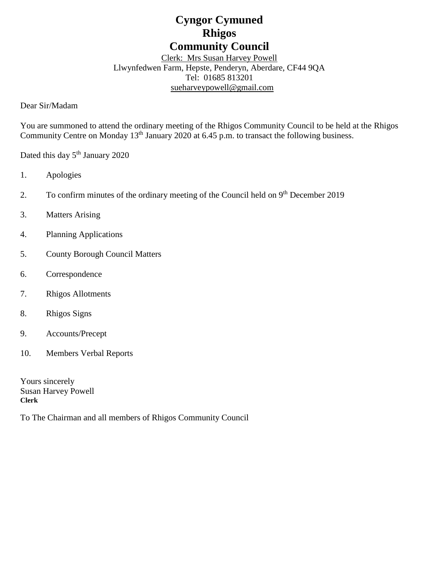# **Cyngor Cymuned Rhigos Community Council**

Clerk: Mrs Susan Harvey Powell Llwynfedwen Farm, Hepste, Penderyn, Aberdare, CF44 9QA Tel: 01685 813201 [sueharveypowell@g](mailto:sharveypowell@comin-infants.co.uk)mail.com

Dear Sir/Madam

You are summoned to attend the ordinary meeting of the Rhigos Community Council to be held at the Rhigos Community Centre on Monday 13<sup>th</sup> January 2020 at 6.45 p.m. to transact the following business.

Dated this day 5<sup>th</sup> January 2020

- 1. Apologies
- 2. To confirm minutes of the ordinary meeting of the Council held on 9<sup>th</sup> December 2019
- 3. Matters Arising
- 4. Planning Applications
- 5. County Borough Council Matters
- 6. Correspondence
- 7. Rhigos Allotments
- 8. Rhigos Signs
- 9. Accounts/Precept
- 10. Members Verbal Reports

Yours sincerely Susan Harvey Powell **Clerk**

To The Chairman and all members of Rhigos Community Council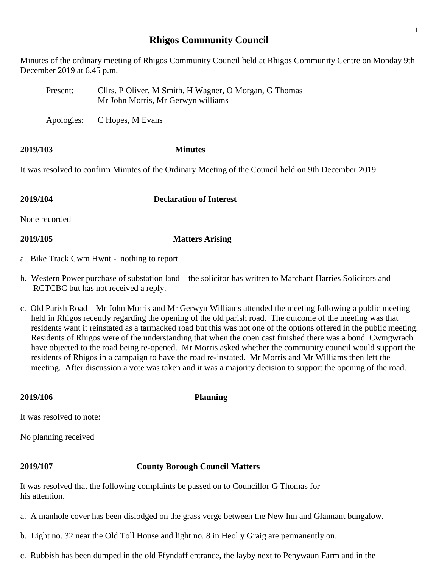# **Rhigos Community Council**

Minutes of the ordinary meeting of Rhigos Community Council held at Rhigos Community Centre on Monday 9th December 2019 at 6.45 p.m.

Present: Cllrs. P Oliver, M Smith, H Wagner, O Morgan, G Thomas Mr John Morris, Mr Gerwyn williams

Apologies: C Hopes, M Evans

## **2019/103 Minutes**

It was resolved to confirm Minutes of the Ordinary Meeting of the Council held on 9th December 2019

**2019/104 Declaration of Interest**

None recorded

# **2019/105 Matters Arising**

- a. Bike Track Cwm Hwnt nothing to report
- b. Western Power purchase of substation land the solicitor has written to Marchant Harries Solicitors and RCTCBC but has not received a reply.
- c. Old Parish Road Mr John Morris and Mr Gerwyn Williams attended the meeting following a public meeting held in Rhigos recently regarding the opening of the old parish road. The outcome of the meeting was that residents want it reinstated as a tarmacked road but this was not one of the options offered in the public meeting. Residents of Rhigos were of the understanding that when the open cast finished there was a bond. Cwmgwrach have objected to the road being re-opened. Mr Morris asked whether the community council would support the residents of Rhigos in a campaign to have the road re-instated. Mr Morris and Mr Williams then left the meeting. After discussion a vote was taken and it was a majority decision to support the opening of the road.

It was resolved to note:

No planning received

# **2019/107 County Borough Council Matters**

It was resolved that the following complaints be passed on to Councillor G Thomas for his attention.

- a. A manhole cover has been dislodged on the grass verge between the New Inn and Glannant bungalow.
- b. Light no. 32 near the Old Toll House and light no. 8 in Heol y Graig are permanently on.
- c. Rubbish has been dumped in the old Ffyndaff entrance, the layby next to Penywaun Farm and in the

# **2019/106 Planning**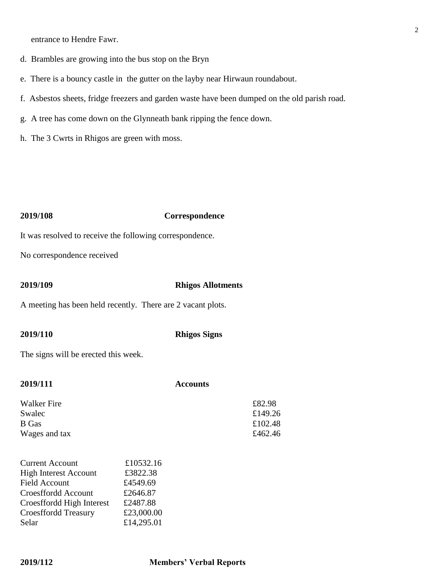entrance to Hendre Fawr.

- d. Brambles are growing into the bus stop on the Bryn
- e. There is a bouncy castle in the gutter on the layby near Hirwaun roundabout.
- f. Asbestos sheets, fridge freezers and garden waste have been dumped on the old parish road.
- g. A tree has come down on the Glynneath bank ripping the fence down.
- h. The 3 Cwrts in Rhigos are green with moss.

### **2019/108 Correspondence**

It was resolved to receive the following correspondence.

No correspondence received

### **2019/109 Rhigos Allotments**

A meeting has been held recently. There are 2 vacant plots.

### **2019/110 Rhigos Signs**

The signs will be erected this week.

| <b>Accounts</b> |         |
|-----------------|---------|
|                 | £82.98  |
|                 | £149.26 |
|                 | £102.48 |
|                 | £462.46 |
|                 |         |

| <b>Current Account</b>       | £10532.16  |
|------------------------------|------------|
| <b>High Interest Account</b> | £3822.38   |
| <b>Field Account</b>         | £4549.69   |
| Croesffordd Account          | £2646.87   |
| Croesffordd High Interest    | £2487.88   |
| <b>Croesffordd Treasury</b>  | £23,000.00 |
| Selar                        | £14,295.01 |
|                              |            |

## **2019/112 Members' Verbal Reports**